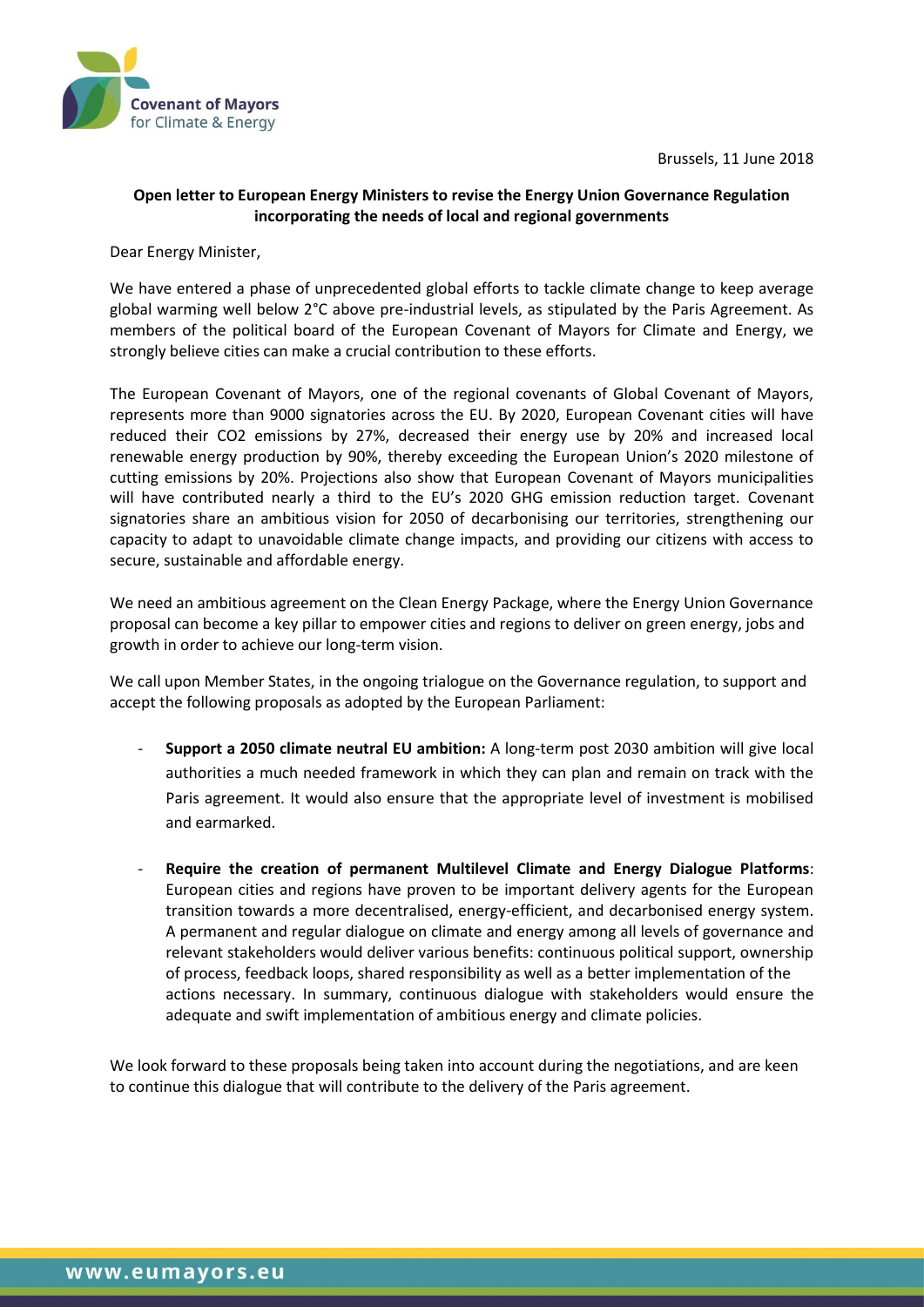



## **Open letter to European Energy Ministers to revise the Energy Union Governance Regulation incorporating the needs of local and regional governments**

Dear Energy Minister,

We have entered a phase of unprecedented global efforts to tackle climate change to keep average global warming well below 2°C above pre-industrial levels, as stipulated by the Paris Agreement. As members of the political board of the European Covenant of Mayors for Climate and Energy, we strongly believe cities can make a crucial contribution to these efforts.

The European Covenant of Mayors, one of the regional covenants of Global Covenant of Mayors, represents more than 9000 signatories across the EU. By 2020, European Covenant cities will have reduced their CO2 emissions by 27%, decreased their energy use by 20% and increased local renewable energy production by 90%, thereby exceeding the European Union's 2020 milestone of cutting emissions by 20%. Projections also show that European Covenant of Mayors municipalities will have contributed nearly a third to the EU's 2020 GHG emission reduction target. Covenant signatories share an ambitious vision for 2050 of decarbonising our territories, strengthening our capacity to adapt to unavoidable climate change impacts, and providing our citizens with access to secure, sustainable and affordable energy.

We need an ambitious agreement on the Clean Energy Package, where the Energy Union Governance proposal can become a key pillar to empower cities and regions to deliver on green energy, jobs and growth in order to achieve our long-term vision.

We call upon Member States, in the ongoing trialogue on the Governance regulation, to support and accept the following proposals as adopted by the European Parliament:

- **Support a 2050 climate neutral EU ambition:** A long-term post 2030 ambition will give local authorities a much needed framework in which they can plan and remain on track with the Paris agreement. It would also ensure that the appropriate level of investment is mobilised and earmarked.
- **Require the creation of permanent Multilevel Climate and Energy Dialogue Platforms**: European cities and regions have proven to be important delivery agents for the European transition towards a more decentralised, energy-efficient, and decarbonised energy system. A permanent and regular dialogue on climate and energy among all levels of governance and relevant stakeholders would deliver various benefits: continuous political support, ownership of process, feedback loops, shared responsibility as well as a better implementation of the actions necessary. In summary, continuous dialogue with stakeholders would ensure the adequate and swift implementation of ambitious energy and climate policies.

We look forward to these proposals being taken into account during the negotiations, and are keen to continue this dialogue that will contribute to the delivery of the Paris agreement.